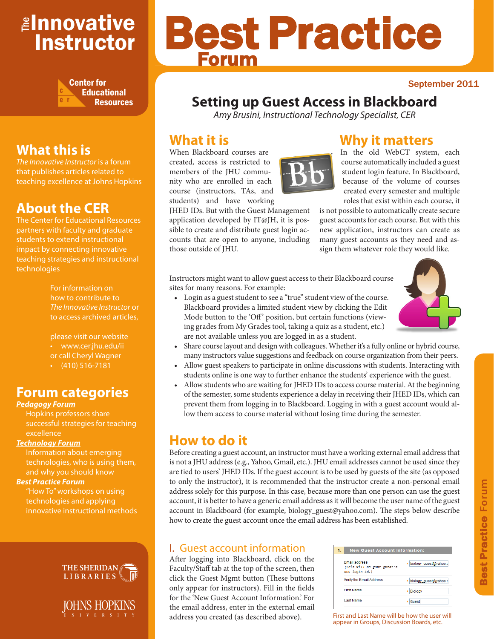## <mark>≇Innovative</mark> Instructor



## **What this is**

*The Innovative Instructor* is a forum that publishes articles related to teaching excellence at Johns Hopkins

## **About the CER**

The Center for Educational Resources partners with faculty and graduate students to extend instructional impact by connecting innovative teaching strategies and instructional technologies

> For information on how to contribute to *The Innovative Instructor* or to access archived articles,

please visit our website • www.cer.jhu.edu/ii or call Cheryl Wagner  $\cdot$  (410) 516-7181

## **Forum categories**

#### *Pedagogy Forum*

Hopkins professors share successful strategies for teaching excellence

#### *Technology Forum*

Information about emerging technologies, who is using them, and why you should know

#### *Best Practice Forum*

"How To" workshops on using technologies and applying innovative instructional methods





# Best Practice Forum

#### September 2011

## **Setting up Guest Access in Blackboard**

*Amy Brusini, Instructional Technology Specialist, CER*

## **What it is**

When Blackboard courses are created, access is restricted to members of the JHU community who are enrolled in each course (instructors, TAs, and students) and have working



application developed by IT@JH, it is possible to create and distribute guest login accounts that are open to anyone, including those outside of JHU.

## **Why it matters**

In the old WebCT system, each course automatically included a guest student login feature. In Blackboard, because of the volume of courses created every semester and multiple roles that exist within each course, it

is not possible to automatically create secure guest accounts for each course. But with this new application, instructors can create as many guest accounts as they need and assign them whatever role they would like.

Instructors might want to allow guest access to their Blackboard course sites for many reasons. For example:

• Login as a guest student to see a "true" student view of the course. Blackboard provides a limited student view by clicking the Edit Mode button to the 'Off' position, but certain functions (viewing grades from My Grades tool, taking a quiz as a student, etc.) are not available unless you are logged in as a student.



- Share course layout and design with colleagues. Whether it's a fully online or hybrid course, many instructors value suggestions and feedback on course organization from their peers.
- Allow guest speakers to participate in online discussions with students. Interacting with students online is one way to further enhance the students' experience with the guest.
- Allow students who are waiting for JHED IDs to access course material. At the beginning of the semester, some students experience a delay in receiving their JHED IDs, which can prevent them from logging in to Blackboard. Logging in with a guest account would allow them access to course material without losing time during the semester.

## **How to do it**

Before creating a guest account, an instructor must have a working external email address that is not a JHU address (e.g., Yahoo, Gmail, etc.). JHU email addresses cannot be used since they are tied to users' JHED IDs. If the guest account is to be used by guests of the site (as opposed to only the instructor), it is recommended that the instructor create a non-personal email address solely for this purpose. In this case, because more than one person can use the guest account, it is better to have a generic email address as it will become the user name of the guest account in Blackboard (for example, biology\_guest@yahoo.com). The steps below describe how to create the guest account once the email address has been established.

#### I. Guest account information

After logging into Blackboard, click on the Faculty/Staff tab at the top of the screen, then click the Guest Mgmt button (These buttons only appear for instructors). Fill in the fields for the 'New Guest Account Information.' For the email address, enter in the external email address you created (as described above). First and Last Name will be how the user will

| 1. |                                                                      | <b>New Guest Account Information:</b> |  |  |  |  |
|----|----------------------------------------------------------------------|---------------------------------------|--|--|--|--|
|    | <b>Email address</b><br>(This will be your quest's<br>nev login id.) | * biology_quest@yahoo.c               |  |  |  |  |
|    | Verify the Email Address                                             | * biology quest@yahoo.c               |  |  |  |  |
|    | <b>First Name</b>                                                    | * Biology                             |  |  |  |  |
|    | <b>Last Name</b>                                                     | * Guest                               |  |  |  |  |

appear in Groups, Discussion Boards, etc.